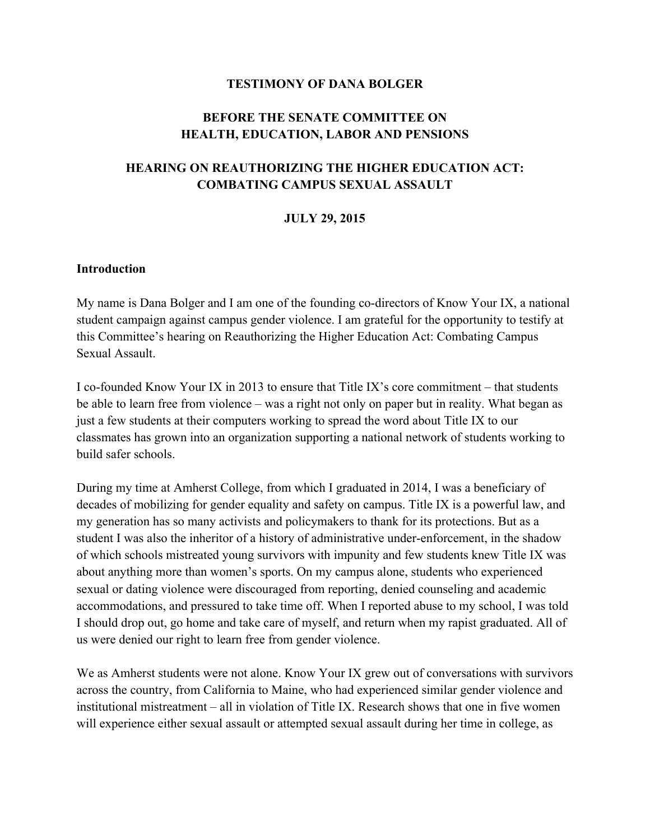#### **TESTIMONY OF DANA BOLGER**

#### **BEFORE THE SENATE COMMITTEE ON HEALTH, EDUCATION, LABOR AND PENSIONS**

#### **HEARING ON REAUTHORIZING THE HIGHER EDUCATION ACT: COMBATING CAMPUS SEXUAL ASSAULT**

#### **JULY 29, 2015**

#### **Introduction**

My name is Dana Bolger and I am one of the founding co-directors of Know Your IX, a national student campaign against campus gender violence. I am grateful for the opportunity to testify at this Committee's hearing on Reauthorizing the Higher Education Act: Combating Campus Sexual Assault.

I co-founded Know Your IX in 2013 to ensure that Title IX's core commitment – that students be able to learn free from violence – was a right not only on paper but in reality. What began as just a few students at their computers working to spread the word about Title IX to our classmates has grown into an organization supporting a national network of students working to build safer schools.

During my time at Amherst College, from which I graduated in 2014, I was a beneficiary of decades of mobilizing for gender equality and safety on campus. Title IX is a powerful law, and my generation has so many activists and policymakers to thank for its protections. But as a student I was also the inheritor of a history of administrative under-enforcement, in the shadow of which schools mistreated young survivors with impunity and few students knew Title IX was about anything more than women's sports. On my campus alone, students who experienced sexual or dating violence were discouraged from reporting, denied counseling and academic accommodations, and pressured to take time off. When I reported abuse to my school, I was told I should drop out, go home and take care of myself, and return when my rapist graduated. All of us were denied our right to learn free from gender violence.

We as Amherst students were not alone. Know Your IX grew out of conversations with survivors across the country, from California to Maine, who had experienced similar gender violence and institutional mistreatment – all in violation of Title IX. Research shows that one in five women will experience either sexual assault or attempted sexual assault during her time in college, as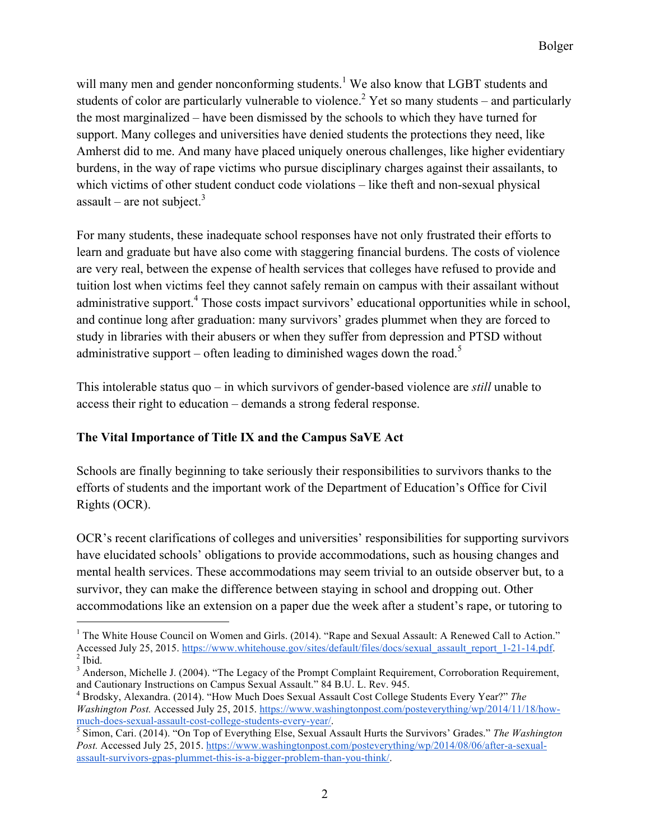will many men and gender nonconforming students.<sup>1</sup> We also know that LGBT students and students of color are particularly vulnerable to violence.<sup>2</sup> Yet so many students – and particularly the most marginalized – have been dismissed by the schools to which they have turned for support. Many colleges and universities have denied students the protections they need, like Amherst did to me. And many have placed uniquely onerous challenges, like higher evidentiary burdens, in the way of rape victims who pursue disciplinary charges against their assailants, to which victims of other student conduct code violations – like theft and non-sexual physical assault – are not subject.<sup>3</sup>

For many students, these inadequate school responses have not only frustrated their efforts to learn and graduate but have also come with staggering financial burdens. The costs of violence are very real, between the expense of health services that colleges have refused to provide and tuition lost when victims feel they cannot safely remain on campus with their assailant without administrative support.<sup>4</sup> Those costs impact survivors' educational opportunities while in school, and continue long after graduation: many survivors' grades plummet when they are forced to study in libraries with their abusers or when they suffer from depression and PTSD without administrative support – often leading to diminished wages down the road.<sup>5</sup>

This intolerable status quo – in which survivors of gender-based violence are *still* unable to access their right to education – demands a strong federal response.

## **The Vital Importance of Title IX and the Campus SaVE Act**

Schools are finally beginning to take seriously their responsibilities to survivors thanks to the efforts of students and the important work of the Department of Education's Office for Civil Rights (OCR).

OCR's recent clarifications of colleges and universities' responsibilities for supporting survivors have elucidated schools' obligations to provide accommodations, such as housing changes and mental health services. These accommodations may seem trivial to an outside observer but, to a survivor, they can make the difference between staying in school and dropping out. Other accommodations like an extension on a paper due the week after a student's rape, or tutoring to

<sup>&</sup>lt;sup>1</sup> The White House Council on Women and Girls. (2014). "Rape and Sexual Assault: A Renewed Call to Action." Accessed July 25, 2015. https://www.whitehouse.gov/sites/default/files/docs/sexual\_assault\_report\_1-21-14.pdf.  $2$  Ibid.

 $3$  Anderson, Michelle J. (2004). "The Legacy of the Prompt Complaint Requirement, Corroboration Requirement, and Cautionary Instructions on Campus Sexual Assault." 84 B.U. L. Rev. 945.

<sup>4</sup> Brodsky, Alexandra. (2014). "How Much Does Sexual Assault Cost College Students Every Year?" *The Washington Post.* Accessed July 25, 2015. https://www.washingtonpost.com/posteverything/wp/2014/11/18/how-

much-does-sexual-assault-cost-college-students-every-year/. <sup>5</sup> Simon, Cari. (2014). "On Top of Everything Else, Sexual Assault Hurts the Survivors' Grades." *The Washington*  Post. Accessed July 25, 2015. https://www.washingtonpost.com/posteverything/wp/2014/08/06/after-a-sexualassault-survivors-gpas-plummet-this-is-a-bigger-problem-than-you-think/.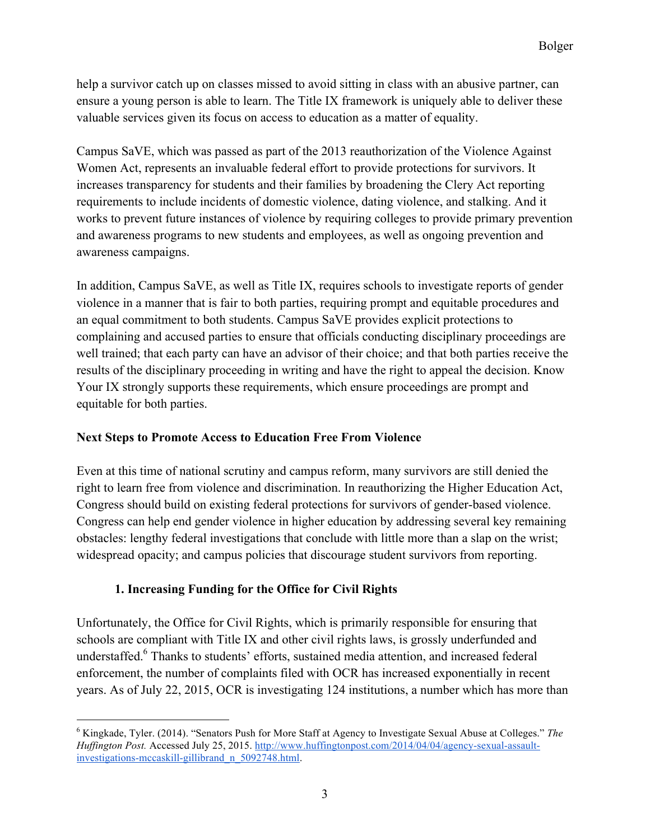help a survivor catch up on classes missed to avoid sitting in class with an abusive partner, can ensure a young person is able to learn. The Title IX framework is uniquely able to deliver these valuable services given its focus on access to education as a matter of equality.

Campus SaVE, which was passed as part of the 2013 reauthorization of the Violence Against Women Act, represents an invaluable federal effort to provide protections for survivors. It increases transparency for students and their families by broadening the Clery Act reporting requirements to include incidents of domestic violence, dating violence, and stalking. And it works to prevent future instances of violence by requiring colleges to provide primary prevention and awareness programs to new students and employees, as well as ongoing prevention and awareness campaigns.

In addition, Campus SaVE, as well as Title IX, requires schools to investigate reports of gender violence in a manner that is fair to both parties, requiring prompt and equitable procedures and an equal commitment to both students. Campus SaVE provides explicit protections to complaining and accused parties to ensure that officials conducting disciplinary proceedings are well trained; that each party can have an advisor of their choice; and that both parties receive the results of the disciplinary proceeding in writing and have the right to appeal the decision. Know Your IX strongly supports these requirements, which ensure proceedings are prompt and equitable for both parties.

#### **Next Steps to Promote Access to Education Free From Violence**

Even at this time of national scrutiny and campus reform, many survivors are still denied the right to learn free from violence and discrimination. In reauthorizing the Higher Education Act, Congress should build on existing federal protections for survivors of gender-based violence. Congress can help end gender violence in higher education by addressing several key remaining obstacles: lengthy federal investigations that conclude with little more than a slap on the wrist; widespread opacity; and campus policies that discourage student survivors from reporting.

## **1. Increasing Funding for the Office for Civil Rights**

Unfortunately, the Office for Civil Rights, which is primarily responsible for ensuring that schools are compliant with Title IX and other civil rights laws, is grossly underfunded and understaffed.<sup>6</sup> Thanks to students' efforts, sustained media attention, and increased federal enforcement, the number of complaints filed with OCR has increased exponentially in recent years. As of July 22, 2015, OCR is investigating 124 institutions, a number which has more than

<sup>6</sup> Kingkade, Tyler. (2014). "Senators Push for More Staff at Agency to Investigate Sexual Abuse at Colleges." *The Huffington Post.* Accessed July 25, 2015. http://www.huffingtonpost.com/2014/04/04/agency-sexual-assaultinvestigations-mccaskill-gillibrand\_n\_5092748.html.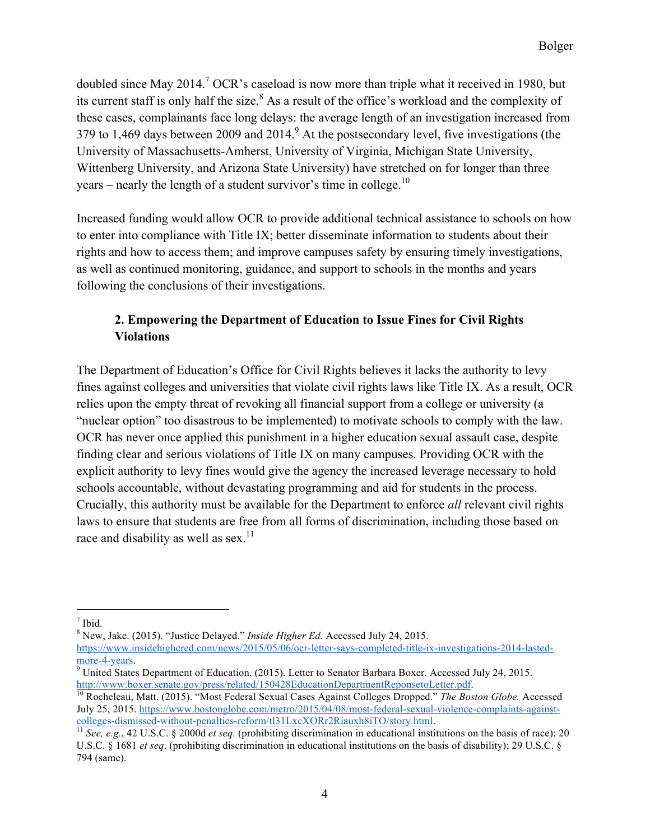doubled since May 2014.<sup>7</sup> OCR's caseload is now more than triple what it received in 1980, but its current staff is only half the size. $8$  As a result of the office's workload and the complexity of these cases, complainants face long delays: the average length of an investigation increased from 379 to 1,469 days between 2009 and 2014. $9$  At the postsecondary level, five investigations (the University of Massachusetts-Amherst, University of Virginia, Michigan State University, Wittenberg University, and Arizona State University) have stretched on for longer than three years – nearly the length of a student survivor's time in college.<sup>10</sup>

Increased funding would allow OCR to provide additional technical assistance to schools on how to enter into compliance with Title IX; better disseminate information to students about their rights and how to access them; and improve campuses safety by ensuring timely investigations, as well as continued monitoring, guidance, and support to schools in the months and years following the conclusions of their investigations.

# **2. Empowering the Department of Education to Issue Fines for Civil Rights Violations**

The Department of Education's Office for Civil Rights believes it lacks the authority to levy fines against colleges and universities that violate civil rights laws like Title IX. As a result, OCR relies upon the empty threat of revoking all financial support from a college or university (a "nuclear option" too disastrous to be implemented) to motivate schools to comply with the law. OCR has never once applied this punishment in a higher education sexual assault case, despite finding clear and serious violations of Title IX on many campuses. Providing OCR with the explicit authority to levy fines would give the agency the increased leverage necessary to hold schools accountable, without devastating programming and aid for students in the process. Crucially, this authority must be available for the Department to enforce *all* relevant civil rights laws to ensure that students are free from all forms of discrimination, including those based on race and disability as well as sex. $11$ 

8 New, Jake. (2015). "Justice Delayed." *Inside Higher Ed.* Accessed July 24, 2015.

 $<sup>7</sup>$  Ibid.</sup>

https://www.insidehighered.com/news/2015/05/06/ocr-letter-says-completed-title-ix-investigations-2014-lastedmore-4-years.

 $\frac{1}{9}$  United States Department of Education. (2015). Letter to Senator Barbara Boxer. Accessed July 24, 2015.<br>http://www.boxer.senate.gov/press/related/150428EducationDepartmentReponsetoLetter.pdf.

<sup>&</sup>lt;sup>10</sup> Rocheleau, Matt. (2015). "Most Federal Sexual Cases Against Colleges Dropped." *The Boston Globe.* Accessed July 25, 2015. https://www.bostonglobe.com/metro/2015/04/08/most-federal-sexual-violence-complaints-againstcolleges-dismissed-without-penalties-reform/tl31LxcXORr2Riauxh8iTO/story.html. 11 *See, e.g.*, 42 U.S.C. § 2000d *et seq.* (prohibiting discrimination in educational institutions on the basis of race); 20

U.S.C. § 1681 *et seq*. (prohibiting discrimination in educational institutions on the basis of disability); 29 U.S.C. § 794 (same).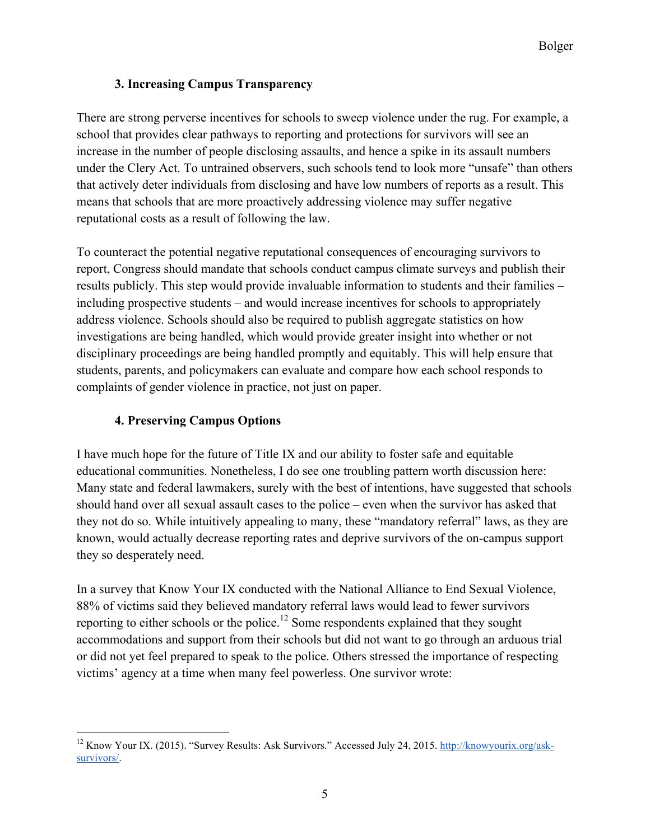# **3. Increasing Campus Transparency**

There are strong perverse incentives for schools to sweep violence under the rug. For example, a school that provides clear pathways to reporting and protections for survivors will see an increase in the number of people disclosing assaults, and hence a spike in its assault numbers under the Clery Act. To untrained observers, such schools tend to look more "unsafe" than others that actively deter individuals from disclosing and have low numbers of reports as a result. This means that schools that are more proactively addressing violence may suffer negative reputational costs as a result of following the law.

To counteract the potential negative reputational consequences of encouraging survivors to report, Congress should mandate that schools conduct campus climate surveys and publish their results publicly. This step would provide invaluable information to students and their families – including prospective students – and would increase incentives for schools to appropriately address violence. Schools should also be required to publish aggregate statistics on how investigations are being handled, which would provide greater insight into whether or not disciplinary proceedings are being handled promptly and equitably. This will help ensure that students, parents, and policymakers can evaluate and compare how each school responds to complaints of gender violence in practice, not just on paper.

# **4. Preserving Campus Options**

 $\overline{a}$ 

I have much hope for the future of Title IX and our ability to foster safe and equitable educational communities. Nonetheless, I do see one troubling pattern worth discussion here: Many state and federal lawmakers, surely with the best of intentions, have suggested that schools should hand over all sexual assault cases to the police – even when the survivor has asked that they not do so. While intuitively appealing to many, these "mandatory referral" laws, as they are known, would actually decrease reporting rates and deprive survivors of the on-campus support they so desperately need.

In a survey that Know Your IX conducted with the National Alliance to End Sexual Violence, 88% of victims said they believed mandatory referral laws would lead to fewer survivors reporting to either schools or the police.<sup>12</sup> Some respondents explained that they sought accommodations and support from their schools but did not want to go through an arduous trial or did not yet feel prepared to speak to the police. Others stressed the importance of respecting victims' agency at a time when many feel powerless. One survivor wrote:

<sup>&</sup>lt;sup>12</sup> Know Your IX. (2015). "Survey Results: Ask Survivors." Accessed July 24, 2015. http://knowyourix.org/asksurvivors/.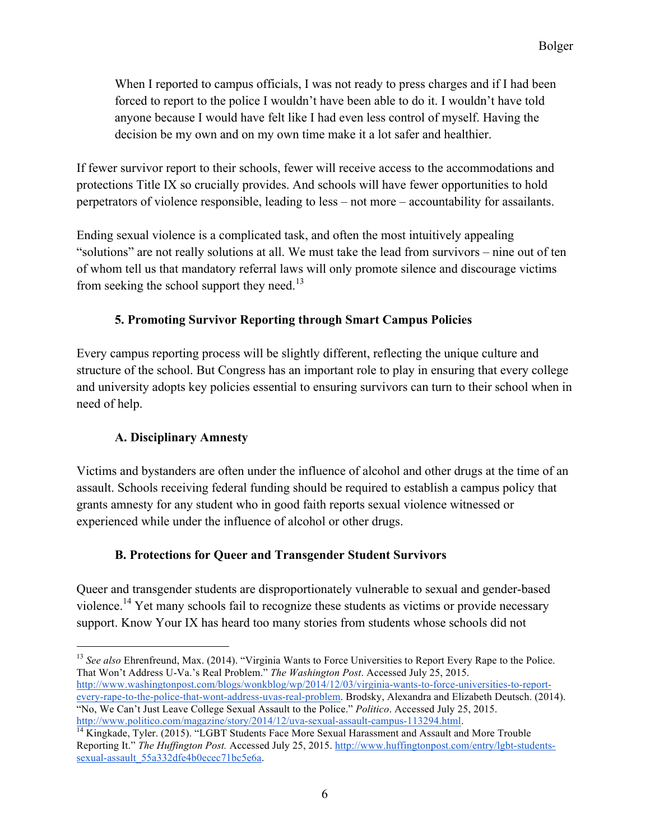When I reported to campus officials, I was not ready to press charges and if I had been forced to report to the police I wouldn't have been able to do it. I wouldn't have told anyone because I would have felt like I had even less control of myself. Having the decision be my own and on my own time make it a lot safer and healthier.

If fewer survivor report to their schools, fewer will receive access to the accommodations and protections Title IX so crucially provides. And schools will have fewer opportunities to hold perpetrators of violence responsible, leading to less – not more – accountability for assailants.

Ending sexual violence is a complicated task, and often the most intuitively appealing "solutions" are not really solutions at all. We must take the lead from survivors – nine out of ten of whom tell us that mandatory referral laws will only promote silence and discourage victims from seeking the school support they need.<sup>13</sup>

#### **5. Promoting Survivor Reporting through Smart Campus Policies**

Every campus reporting process will be slightly different, reflecting the unique culture and structure of the school. But Congress has an important role to play in ensuring that every college and university adopts key policies essential to ensuring survivors can turn to their school when in need of help.

## **A. Disciplinary Amnesty**

Victims and bystanders are often under the influence of alcohol and other drugs at the time of an assault. Schools receiving federal funding should be required to establish a campus policy that grants amnesty for any student who in good faith reports sexual violence witnessed or experienced while under the influence of alcohol or other drugs.

## **B. Protections for Queer and Transgender Student Survivors**

Queer and transgender students are disproportionately vulnerable to sexual and gender-based violence.<sup>14</sup> Yet many schools fail to recognize these students as victims or provide necessary support. Know Your IX has heard too many stories from students whose schools did not

<sup>&</sup>lt;sup>13</sup> See also Ehrenfreund, Max. (2014). "Virginia Wants to Force Universities to Report Every Rape to the Police. That Won't Address U-Va.'s Real Problem." *The Washington Post*. Accessed July 25, 2015. http://www.washingtonpost.com/blogs/wonkblog/wp/2014/12/03/virginia-wants-to-force-universities-to-reportevery-rape-to-the-police-that-wont-address-uvas-real-problem. Brodsky, Alexandra and Elizabeth Deutsch. (2014).

<sup>&</sup>quot;No, We Can't Just Leave College Sexual Assault to the Police." *Politico*. Accessed July 25, 2015.

 $\frac{14 \text{ Kingkade}}{14 \text{ Kingkade}}}$ , Tyler. (2015). "LGBT Students Face More Sexual Harassment and Assault and More Trouble Reporting It." The Huffington Post. Accessed July 25, 2015. http://www.huffingtonpost.com/entry/lgbt-studentssexual-assault\_55a332dfe4b0ecec71bc5e6a.